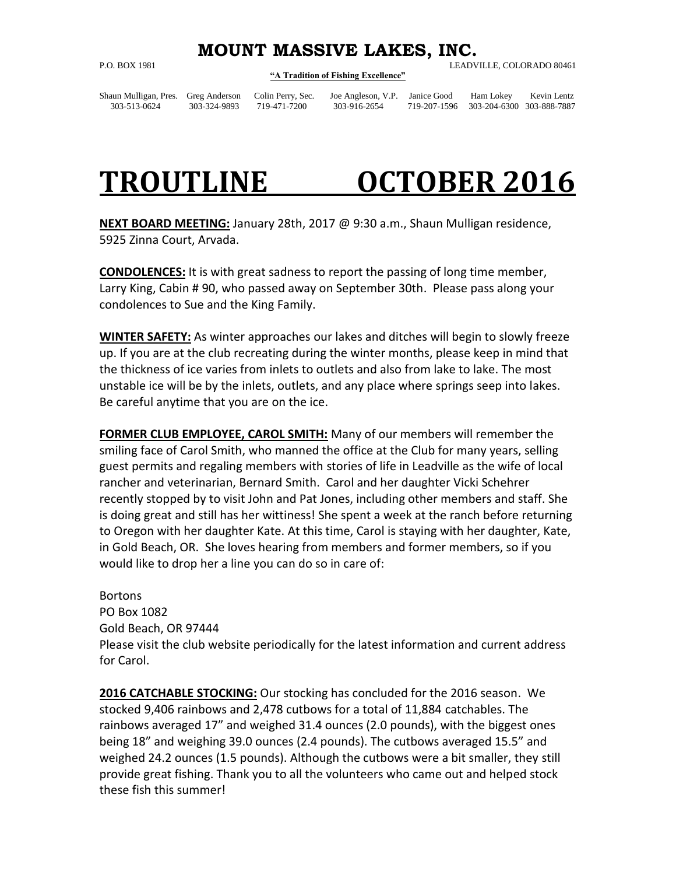## **MOUNT MASSIVE LAKES, INC.**

## **"A Tradition of Fishing Excellence"**

P.O. BOX 1981 LEADVILLE, COLORADO 80461

Shaun Mulligan, Pres. Greg Anderson Colin Perry, Sec. Joe Angleson, V.P. Janice Good Ham Lokey Kevin Lentz 303-513-0624 303-324-9893 719-471-7200 303-916-2654 719-207-1596 303-204-6300 303-888-7887

## **TROUTLINE OCTOBER 2016**

**NEXT BOARD MEETING:** January 28th, 2017 @ 9:30 a.m., Shaun Mulligan residence, 5925 Zinna Court, Arvada.

**CONDOLENCES:** It is with great sadness to report the passing of long time member, Larry King, Cabin # 90, who passed away on September 30th. Please pass along your condolences to Sue and the King Family.

**WINTER SAFETY:** As winter approaches our lakes and ditches will begin to slowly freeze up. If you are at the club recreating during the winter months, please keep in mind that the thickness of ice varies from inlets to outlets and also from lake to lake. The most unstable ice will be by the inlets, outlets, and any place where springs seep into lakes. Be careful anytime that you are on the ice.

**FORMER CLUB EMPLOYEE, CAROL SMITH:** Many of our members will remember the smiling face of Carol Smith, who manned the office at the Club for many years, selling guest permits and regaling members with stories of life in Leadville as the wife of local rancher and veterinarian, Bernard Smith. Carol and her daughter Vicki Schehrer recently stopped by to visit John and Pat Jones, including other members and staff. She is doing great and still has her wittiness! She spent a week at the ranch before returning to Oregon with her daughter Kate. At this time, Carol is staying with her daughter, Kate, in Gold Beach, OR. She loves hearing from members and former members, so if you would like to drop her a line you can do so in care of:

**Bortons** PO Box 1082 Gold Beach, OR 97444 Please visit the club website periodically for the latest information and current address for Carol.

**2016 CATCHABLE STOCKING:** Our stocking has concluded for the 2016 season. We stocked 9,406 rainbows and 2,478 cutbows for a total of 11,884 catchables. The rainbows averaged 17" and weighed 31.4 ounces (2.0 pounds), with the biggest ones being 18" and weighing 39.0 ounces (2.4 pounds). The cutbows averaged 15.5" and weighed 24.2 ounces (1.5 pounds). Although the cutbows were a bit smaller, they still provide great fishing. Thank you to all the volunteers who came out and helped stock these fish this summer!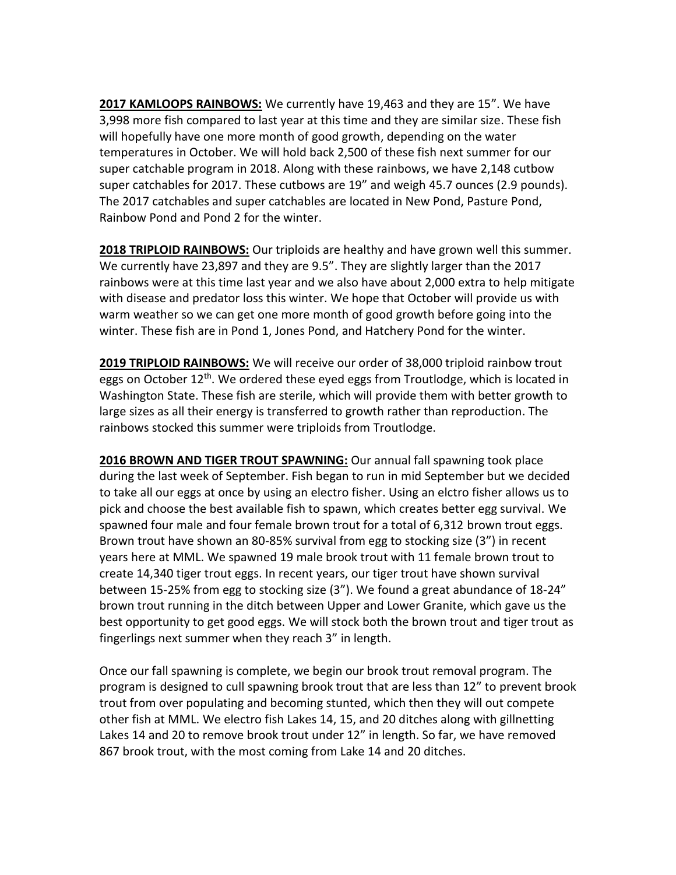**2017 KAMLOOPS RAINBOWS:** We currently have 19,463 and they are 15". We have 3,998 more fish compared to last year at this time and they are similar size. These fish will hopefully have one more month of good growth, depending on the water temperatures in October. We will hold back 2,500 of these fish next summer for our super catchable program in 2018. Along with these rainbows, we have 2,148 cutbow super catchables for 2017. These cutbows are 19" and weigh 45.7 ounces (2.9 pounds). The 2017 catchables and super catchables are located in New Pond, Pasture Pond, Rainbow Pond and Pond 2 for the winter.

**2018 TRIPLOID RAINBOWS:** Our triploids are healthy and have grown well this summer. We currently have 23,897 and they are 9.5". They are slightly larger than the 2017 rainbows were at this time last year and we also have about 2,000 extra to help mitigate with disease and predator loss this winter. We hope that October will provide us with warm weather so we can get one more month of good growth before going into the winter. These fish are in Pond 1, Jones Pond, and Hatchery Pond for the winter.

**2019 TRIPLOID RAINBOWS:** We will receive our order of 38,000 triploid rainbow trout eggs on October 12<sup>th</sup>. We ordered these eyed eggs from Troutlodge, which is located in Washington State. These fish are sterile, which will provide them with better growth to large sizes as all their energy is transferred to growth rather than reproduction. The rainbows stocked this summer were triploids from Troutlodge.

2016 BROWN AND TIGER TROUT SPAWNING: Our annual fall spawning took place during the last week of September. Fish began to run in mid September but we decided to take all our eggs at once by using an electro fisher. Using an elctro fisher allows us to pick and choose the best available fish to spawn, which creates better egg survival. We spawned four male and four female brown trout for a total of 6,312 brown trout eggs. Brown trout have shown an 80-85% survival from egg to stocking size (3") in recent years here at MML. We spawned 19 male brook trout with 11 female brown trout to create 14,340 tiger trout eggs. In recent years, our tiger trout have shown survival between 15-25% from egg to stocking size (3"). We found a great abundance of 18-24" brown trout running in the ditch between Upper and Lower Granite, which gave us the best opportunity to get good eggs. We will stock both the brown trout and tiger trout as fingerlings next summer when they reach 3" in length.

Once our fall spawning is complete, we begin our brook trout removal program. The program is designed to cull spawning brook trout that are less than 12" to prevent brook trout from over populating and becoming stunted, which then they will out compete other fish at MML. We electro fish Lakes 14, 15, and 20 ditches along with gillnetting Lakes 14 and 20 to remove brook trout under 12" in length. So far, we have removed 867 brook trout, with the most coming from Lake 14 and 20 ditches.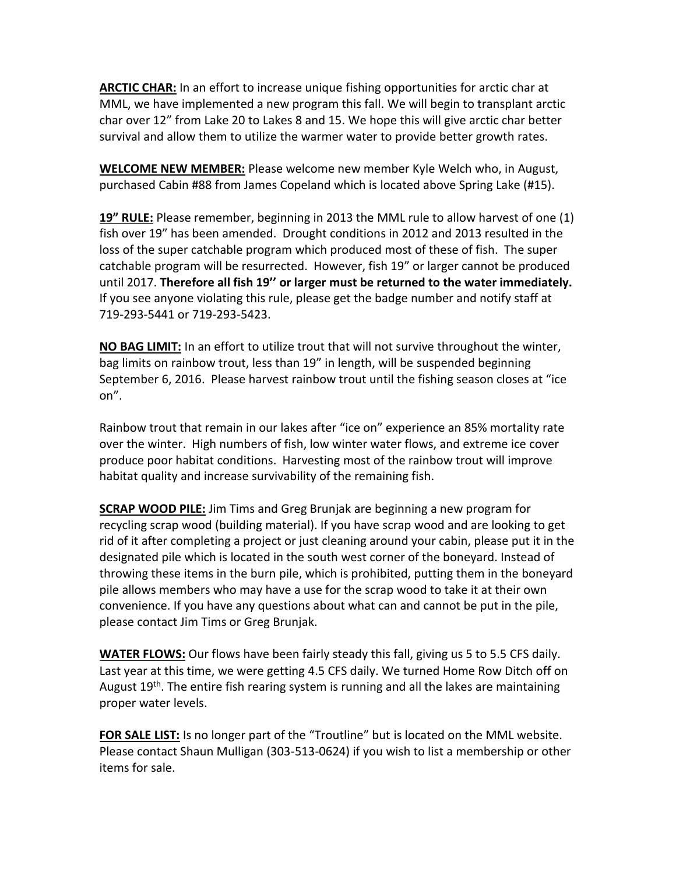**ARCTIC CHAR:** In an effort to increase unique fishing opportunities for arctic char at MML, we have implemented a new program this fall. We will begin to transplant arctic char over 12" from Lake 20 to Lakes 8 and 15. We hope this will give arctic char better survival and allow them to utilize the warmer water to provide better growth rates.

**WELCOME NEW MEMBER:** Please welcome new member Kyle Welch who, in August, purchased Cabin #88 from James Copeland which is located above Spring Lake (#15).

**19" RULE:** Please remember, beginning in 2013 the MML rule to allow harvest of one (1) fish over 19" has been amended. Drought conditions in 2012 and 2013 resulted in the loss of the super catchable program which produced most of these of fish. The super catchable program will be resurrected. However, fish 19" or larger cannot be produced until 2017. **Therefore all fish 19'' or larger must be returned to the water immediately.** If you see anyone violating this rule, please get the badge number and notify staff at 719-293-5441 or 719-293-5423.

**NO BAG LIMIT:** In an effort to utilize trout that will not survive throughout the winter, bag limits on rainbow trout, less than 19" in length, will be suspended beginning September 6, 2016. Please harvest rainbow trout until the fishing season closes at "ice on".

Rainbow trout that remain in our lakes after "ice on" experience an 85% mortality rate over the winter. High numbers of fish, low winter water flows, and extreme ice cover produce poor habitat conditions. Harvesting most of the rainbow trout will improve habitat quality and increase survivability of the remaining fish.

**SCRAP WOOD PILE:** Jim Tims and Greg Brunjak are beginning a new program for recycling scrap wood (building material). If you have scrap wood and are looking to get rid of it after completing a project or just cleaning around your cabin, please put it in the designated pile which is located in the south west corner of the boneyard. Instead of throwing these items in the burn pile, which is prohibited, putting them in the boneyard pile allows members who may have a use for the scrap wood to take it at their own convenience. If you have any questions about what can and cannot be put in the pile, please contact Jim Tims or Greg Brunjak.

**WATER FLOWS:** Our flows have been fairly steady this fall, giving us 5 to 5.5 CFS daily. Last year at this time, we were getting 4.5 CFS daily. We turned Home Row Ditch off on August 19<sup>th</sup>. The entire fish rearing system is running and all the lakes are maintaining proper water levels.

**FOR SALE LIST:** Is no longer part of the "Troutline" but is located on the MML website. Please contact Shaun Mulligan (303-513-0624) if you wish to list a membership or other items for sale.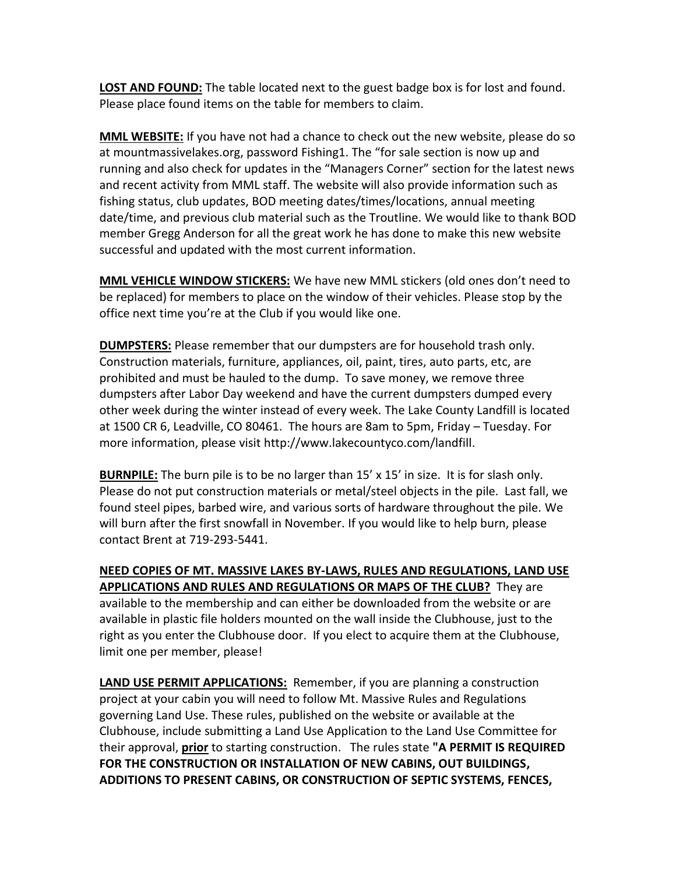**LOST AND FOUND:** The table located next to the guest badge box is for lost and found. Please place found items on the table for members to claim.

**MML WEBSITE:** If you have not had a chance to check out the new website, please do so at mountmassivelakes.org, password Fishing1. The "for sale section is now up and running and also check for updates in the "Managers Corner" section for the latest news and recent activity from MML staff. The website will also provide information such as fishing status, club updates, BOD meeting dates/times/locations, annual meeting date/time, and previous club material such as the Troutline. We would like to thank BOD member Gregg Anderson for all the great work he has done to make this new website successful and updated with the most current information.

**MML VEHICLE WINDOW STICKERS:** We have new MML stickers (old ones don't need to be replaced) for members to place on the window of their vehicles. Please stop by the office next time you're at the Club if you would like one.

**DUMPSTERS:** Please remember that our dumpsters are for household trash only. Construction materials, furniture, appliances, oil, paint, tires, auto parts, etc, are prohibited and must be hauled to the dump. To save money, we remove three dumpsters after Labor Day weekend and have the current dumpsters dumped every other week during the winter instead of every week. The Lake County Landfill is located at 1500 CR 6, Leadville, CO 80461. The hours are 8am to 5pm, Friday – Tuesday. For more information, please visit [http://www.lakecountyco.com/landfill.](http://www.lakecountyco.com/landfill)

**BURNPILE:** The burn pile is to be no larger than 15' x 15' in size. It is for slash only. Please do not put construction materials or metal/steel objects in the pile. Last fall, we found steel pipes, barbed wire, and various sorts of hardware throughout the pile. We will burn after the first snowfall in November. If you would like to help burn, please contact Brent at 719-293-5441.

**NEED COPIES OF MT. MASSIVE LAKES BY-LAWS, RULES AND REGULATIONS, LAND USE APPLICATIONS AND RULES AND REGULATIONS OR MAPS OF THE CLUB?** They are available to the membership and can either be downloaded from the website or are available in plastic file holders mounted on the wall inside the Clubhouse, just to the right as you enter the Clubhouse door. If you elect to acquire them at the Clubhouse, limit one per member, please!

**LAND USE PERMIT APPLICATIONS:** Remember, if you are planning a construction project at your cabin you will need to follow Mt. Massive Rules and Regulations governing Land Use. These rules, published on the website or available at the Clubhouse, include submitting a Land Use Application to the Land Use Committee for their approval, **prior** to starting construction. The rules state **"A PERMIT IS REQUIRED FOR THE CONSTRUCTION OR INSTALLATION OF NEW CABINS, OUT BUILDINGS, ADDITIONS TO PRESENT CABINS, OR CONSTRUCTION OF SEPTIC SYSTEMS, FENCES,**